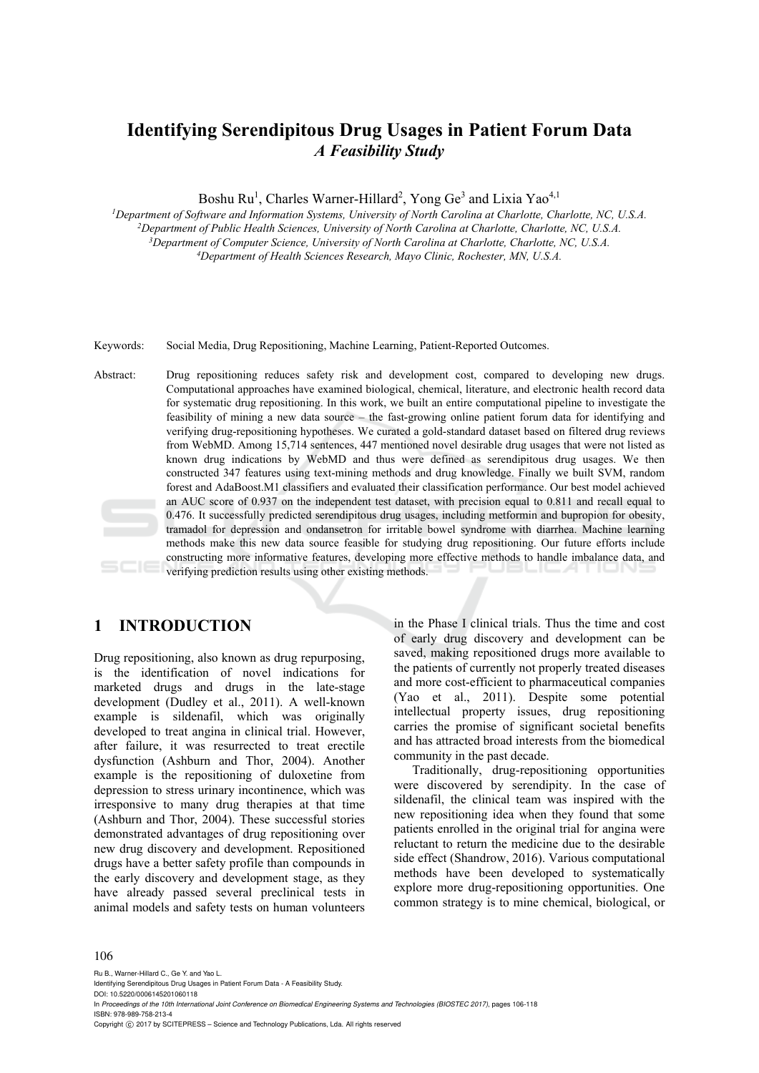# **Identifying Serendipitous Drug Usages in Patient Forum Data**  *A Feasibility Study*

Boshu Ru<sup>1</sup>, Charles Warner-Hillard<sup>2</sup>, Yong Ge<sup>3</sup> and Lixia Yao<sup>4,1</sup>

<sup>1</sup>Department of Software and Information Systems, University of North Carolina at Charlotte, Charlotte, NC, U.S.A.<br><sup>2</sup>Department of Public Health Sciences, University of North Carolina at Charlotte, Charlotte, NC, U.S.A. *Department of Health Sciences Research, Mayo Clinic, Rochester, MN, U.S.A.* 

Keywords: Social Media, Drug Repositioning, Machine Learning, Patient-Reported Outcomes.

Abstract: Drug repositioning reduces safety risk and development cost, compared to developing new drugs. Computational approaches have examined biological, chemical, literature, and electronic health record data for systematic drug repositioning. In this work, we built an entire computational pipeline to investigate the feasibility of mining a new data source – the fast-growing online patient forum data for identifying and verifying drug-repositioning hypotheses. We curated a gold-standard dataset based on filtered drug reviews from WebMD. Among 15,714 sentences, 447 mentioned novel desirable drug usages that were not listed as known drug indications by WebMD and thus were defined as serendipitous drug usages. We then constructed 347 features using text-mining methods and drug knowledge. Finally we built SVM, random forest and AdaBoost.M1 classifiers and evaluated their classification performance. Our best model achieved an AUC score of 0.937 on the independent test dataset, with precision equal to 0.811 and recall equal to 0.476. It successfully predicted serendipitous drug usages, including metformin and bupropion for obesity, tramadol for depression and ondansetron for irritable bowel syndrome with diarrhea. Machine learning methods make this new data source feasible for studying drug repositioning. Our future efforts include constructing more informative features, developing more effective methods to handle imbalance data, and verifying prediction results using other existing methods.

### **1 INTRODUCTION**

Drug repositioning, also known as drug repurposing, is the identification of novel indications for marketed drugs and drugs in the late-stage development (Dudley et al., 2011). A well-known example is sildenafil, which was originally developed to treat angina in clinical trial. However, after failure, it was resurrected to treat erectile dysfunction (Ashburn and Thor, 2004). Another example is the repositioning of duloxetine from depression to stress urinary incontinence, which was irresponsive to many drug therapies at that time (Ashburn and Thor, 2004). These successful stories demonstrated advantages of drug repositioning over new drug discovery and development. Repositioned drugs have a better safety profile than compounds in the early discovery and development stage, as they have already passed several preclinical tests in animal models and safety tests on human volunteers

in the Phase I clinical trials. Thus the time and cost of early drug discovery and development can be saved, making repositioned drugs more available to the patients of currently not properly treated diseases and more cost-efficient to pharmaceutical companies (Yao et al., 2011). Despite some potential intellectual property issues, drug repositioning carries the promise of significant societal benefits and has attracted broad interests from the biomedical community in the past decade.

Traditionally, drug-repositioning opportunities were discovered by serendipity. In the case of sildenafil, the clinical team was inspired with the new repositioning idea when they found that some patients enrolled in the original trial for angina were reluctant to return the medicine due to the desirable side effect (Shandrow, 2016). Various computational methods have been developed to systematically explore more drug-repositioning opportunities. One common strategy is to mine chemical, biological, or

#### 106

Ru B., Warner-Hillard C., Ge Y. and Yao L. Identifying Serendipitous Drug Usages in Patient Forum Data - A Feasibility Study.

DOI: 10.5220/0006145201060118 In *Proceedings of the 10th International Joint Conference on Biomedical Engineering Systems and Technologies (BIOSTEC 2017)*, pages 106-118 ISBN: 978-989-758-213-4

Copyright © 2017 by SCITEPRESS - Science and Technology Publications, Lda. All rights reserved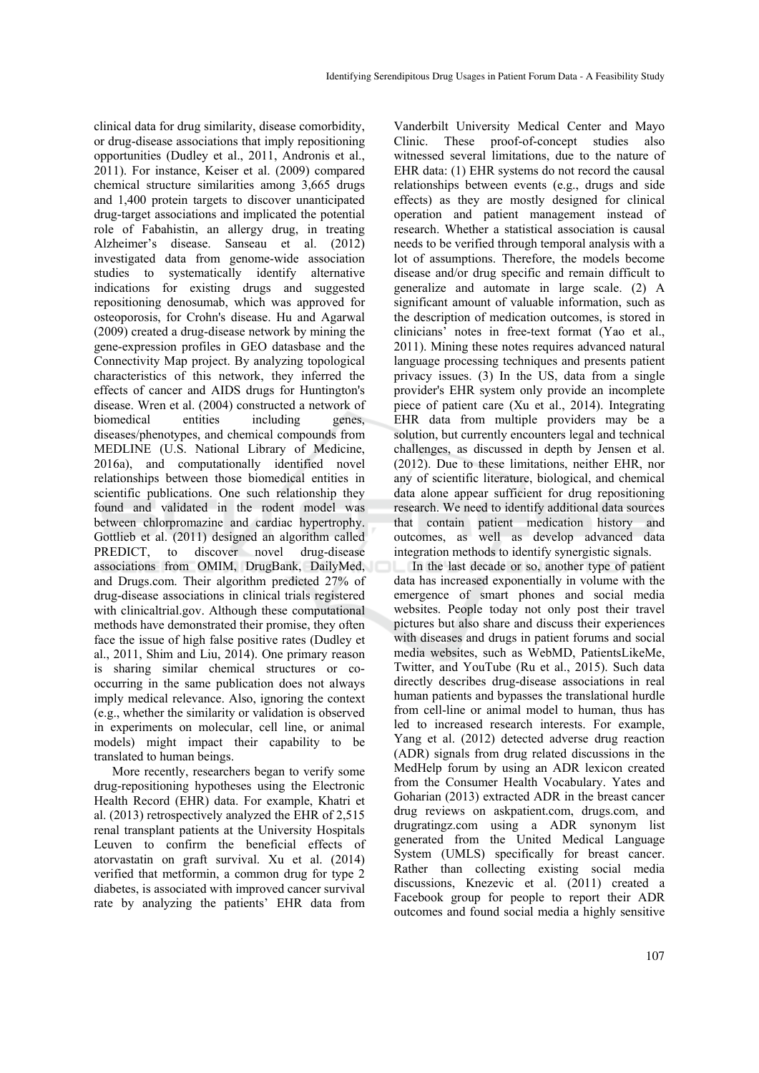clinical data for drug similarity, disease comorbidity, or drug-disease associations that imply repositioning opportunities (Dudley et al., 2011, Andronis et al., 2011). For instance, Keiser et al. (2009) compared chemical structure similarities among 3,665 drugs and 1,400 protein targets to discover unanticipated drug-target associations and implicated the potential role of Fabahistin, an allergy drug, in treating Alzheimer's disease. Sanseau et al. (2012) investigated data from genome-wide association studies to systematically identify alternative indications for existing drugs and suggested repositioning denosumab, which was approved for osteoporosis, for Crohn's disease. Hu and Agarwal (2009) created a drug-disease network by mining the gene-expression profiles in GEO datasbase and the Connectivity Map project. By analyzing topological characteristics of this network, they inferred the effects of cancer and AIDS drugs for Huntington's disease. Wren et al. (2004) constructed a network of biomedical entities including genes, diseases/phenotypes, and chemical compounds from MEDLINE (U.S. National Library of Medicine, 2016a), and computationally identified novel relationships between those biomedical entities in scientific publications. One such relationship they found and validated in the rodent model was between chlorpromazine and cardiac hypertrophy. Gottlieb et al. (2011) designed an algorithm called PREDICT, to discover novel drug-disease associations from OMIM, DrugBank, DailyMed, and Drugs.com. Their algorithm predicted 27% of drug-disease associations in clinical trials registered with clinicaltrial.gov. Although these computational methods have demonstrated their promise, they often face the issue of high false positive rates (Dudley et al., 2011, Shim and Liu, 2014). One primary reason is sharing similar chemical structures or cooccurring in the same publication does not always imply medical relevance. Also, ignoring the context (e.g., whether the similarity or validation is observed in experiments on molecular, cell line, or animal models) might impact their capability to be translated to human beings.

More recently, researchers began to verify some drug-repositioning hypotheses using the Electronic Health Record (EHR) data. For example, Khatri et al. (2013) retrospectively analyzed the EHR of 2,515 renal transplant patients at the University Hospitals Leuven to confirm the beneficial effects of atorvastatin on graft survival. Xu et al. (2014) verified that metformin, a common drug for type 2 diabetes, is associated with improved cancer survival rate by analyzing the patients' EHR data from

Vanderbilt University Medical Center and Mayo Clinic. These proof-of-concept studies also witnessed several limitations, due to the nature of EHR data: (1) EHR systems do not record the causal relationships between events (e.g., drugs and side effects) as they are mostly designed for clinical operation and patient management instead of research. Whether a statistical association is causal needs to be verified through temporal analysis with a lot of assumptions. Therefore, the models become disease and/or drug specific and remain difficult to generalize and automate in large scale. (2) A significant amount of valuable information, such as the description of medication outcomes, is stored in clinicians' notes in free-text format (Yao et al., 2011). Mining these notes requires advanced natural language processing techniques and presents patient privacy issues. (3) In the US, data from a single provider's EHR system only provide an incomplete piece of patient care (Xu et al., 2014). Integrating EHR data from multiple providers may be a solution, but currently encounters legal and technical challenges, as discussed in depth by Jensen et al. (2012). Due to these limitations, neither EHR, nor any of scientific literature, biological, and chemical data alone appear sufficient for drug repositioning research. We need to identify additional data sources that contain patient medication history and outcomes, as well as develop advanced data integration methods to identify synergistic signals.

In the last decade or so, another type of patient data has increased exponentially in volume with the emergence of smart phones and social media websites. People today not only post their travel pictures but also share and discuss their experiences with diseases and drugs in patient forums and social media websites, such as WebMD, PatientsLikeMe, Twitter, and YouTube (Ru et al., 2015). Such data directly describes drug-disease associations in real human patients and bypasses the translational hurdle from cell-line or animal model to human, thus has led to increased research interests. For example, Yang et al. (2012) detected adverse drug reaction (ADR) signals from drug related discussions in the MedHelp forum by using an ADR lexicon created from the Consumer Health Vocabulary. Yates and Goharian (2013) extracted ADR in the breast cancer drug reviews on askpatient.com, drugs.com, and drugratingz.com using a ADR synonym list generated from the United Medical Language System (UMLS) specifically for breast cancer. Rather than collecting existing social media discussions, Knezevic et al. (2011) created a Facebook group for people to report their ADR outcomes and found social media a highly sensitive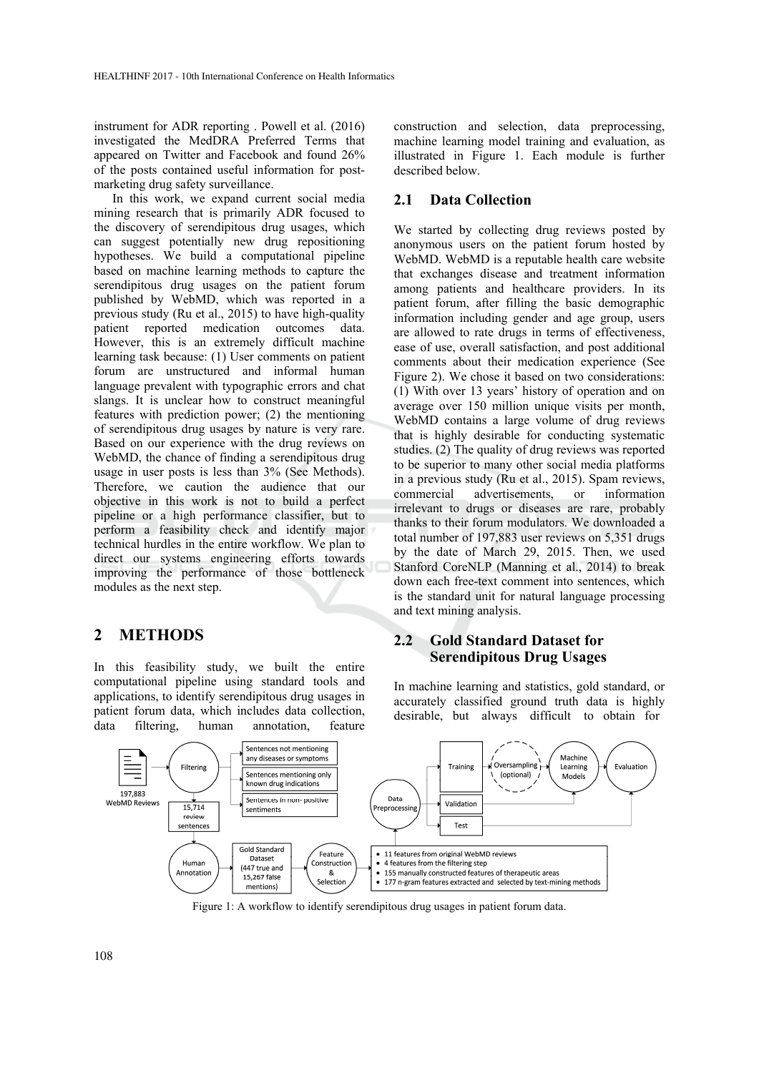instrument for ADR reporting . Powell et al. (2016) investigated the MedDRA Preferred Terms that appeared on Twitter and Facebook and found 26% of the posts contained useful information for postmarketing drug safety surveillance.

In this work, we expand current social media mining research that is primarily ADR focused to the discovery of serendipitous drug usages, which can suggest potentially new drug repositioning hypotheses. We build a computational pipeline based on machine learning methods to capture the serendipitous drug usages on the patient forum published by WebMD, which was reported in a previous study (Ru et al., 2015) to have high-quality patient reported medication outcomes data. However, this is an extremely difficult machine learning task because: (1) User comments on patient forum are unstructured and informal human language prevalent with typographic errors and chat slangs. It is unclear how to construct meaningful features with prediction power; (2) the mentioning of serendipitous drug usages by nature is very rare. Based on our experience with the drug reviews on WebMD, the chance of finding a serendipitous drug usage in user posts is less than 3% (See Methods). Therefore, we caution the audience that our objective in this work is not to build a perfect pipeline or a high performance classifier, but to perform a feasibility check and identify major technical hurdles in the entire workflow. We plan to direct our systems engineering efforts towards improving the performance of those bottleneck modules as the next step.

### **2 METHODS**

In this feasibility study, we built the entire computational pipeline using standard tools and applications, to identify serendipitous drug usages in patient forum data, which includes data collection, data filtering, human annotation, feature construction and selection, data preprocessing, machine learning model training and evaluation, as illustrated in Figure 1. Each module is further described below.

#### **2.1 Data Collection**

We started by collecting drug reviews posted by anonymous users on the patient forum hosted by WebMD. WebMD is a reputable health care website that exchanges disease and treatment information among patients and healthcare providers. In its patient forum, after filling the basic demographic information including gender and age group, users are allowed to rate drugs in terms of effectiveness, ease of use, overall satisfaction, and post additional comments about their medication experience (See Figure 2). We chose it based on two considerations: (1) With over 13 years' history of operation and on average over 150 million unique visits per month, WebMD contains a large volume of drug reviews that is highly desirable for conducting systematic studies. (2) The quality of drug reviews was reported to be superior to many other social media platforms in a previous study (Ru et al., 2015). Spam reviews, commercial advertisements, or information irrelevant to drugs or diseases are rare, probably thanks to their forum modulators. We downloaded a total number of 197,883 user reviews on 5,351 drugs by the date of March 29, 2015. Then, we used Stanford CoreNLP (Manning et al., 2014) to break down each free-text comment into sentences, which is the standard unit for natural language processing and text mining analysis.

### **2.2 Gold Standard Dataset for Serendipitous Drug Usages**

In machine learning and statistics, gold standard, or accurately classified ground truth data is highly desirable, but always difficult to obtain for



Figure 1: A workflow to identify serendipitous drug usages in patient forum data.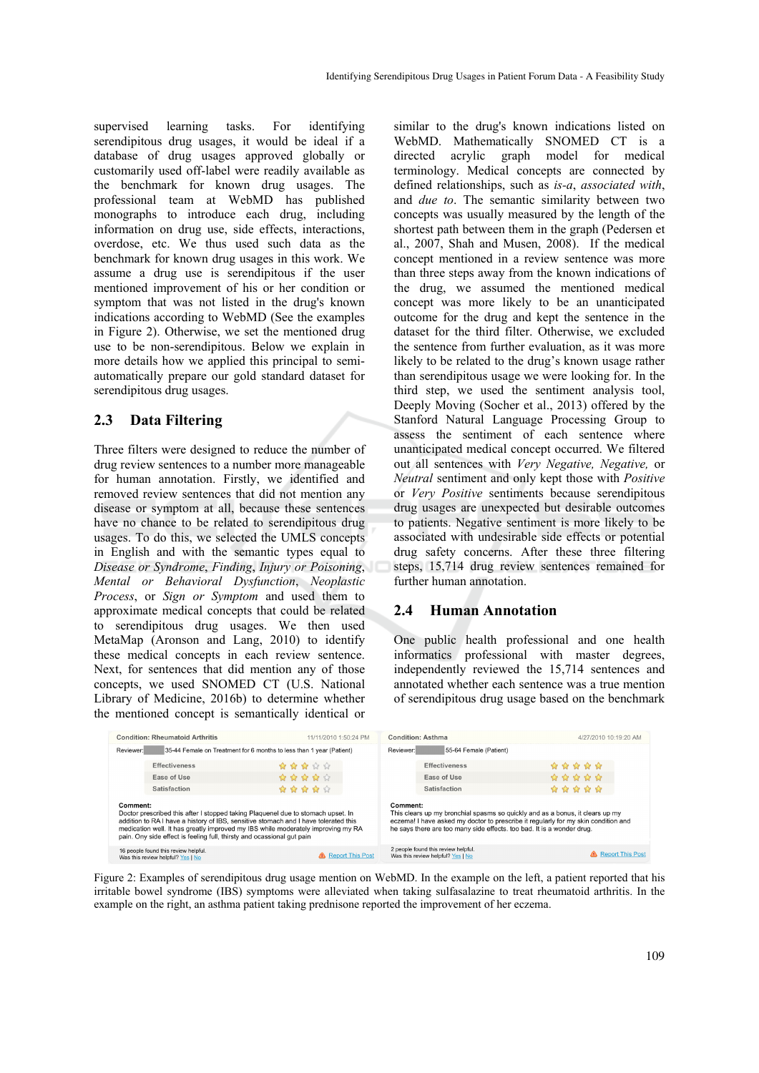supervised learning tasks. For identifying serendipitous drug usages, it would be ideal if a database of drug usages approved globally or customarily used off-label were readily available as the benchmark for known drug usages. The professional team at WebMD has published monographs to introduce each drug, including information on drug use, side effects, interactions, overdose, etc. We thus used such data as the benchmark for known drug usages in this work. We assume a drug use is serendipitous if the user mentioned improvement of his or her condition or symptom that was not listed in the drug's known indications according to WebMD (See the examples in Figure 2). Otherwise, we set the mentioned drug use to be non-serendipitous. Below we explain in more details how we applied this principal to semiautomatically prepare our gold standard dataset for serendipitous drug usages.

#### **2.3 Data Filtering**

Three filters were designed to reduce the number of drug review sentences to a number more manageable for human annotation. Firstly, we identified and removed review sentences that did not mention any disease or symptom at all, because these sentences have no chance to be related to serendipitous drug usages. To do this, we selected the UMLS concepts in English and with the semantic types equal to *Disease or Syndrome*, *Finding*, *Injury or Poisoning*, *Mental or Behavioral Dysfunction*, *Neoplastic Process*, or *Sign or Symptom* and used them to approximate medical concepts that could be related to serendipitous drug usages. We then used MetaMap (Aronson and Lang, 2010) to identify these medical concepts in each review sentence. Next, for sentences that did mention any of those concepts, we used SNOMED CT (U.S. National Library of Medicine, 2016b) to determine whether the mentioned concept is semantically identical or

similar to the drug's known indications listed on WebMD. Mathematically SNOMED CT is a directed acrylic graph model for medical terminology. Medical concepts are connected by defined relationships, such as *is-a*, *associated with*, and *due to*. The semantic similarity between two concepts was usually measured by the length of the shortest path between them in the graph (Pedersen et al., 2007, Shah and Musen, 2008). If the medical concept mentioned in a review sentence was more than three steps away from the known indications of the drug, we assumed the mentioned medical concept was more likely to be an unanticipated outcome for the drug and kept the sentence in the dataset for the third filter. Otherwise, we excluded the sentence from further evaluation, as it was more likely to be related to the drug's known usage rather than serendipitous usage we were looking for. In the third step, we used the sentiment analysis tool, Deeply Moving (Socher et al., 2013) offered by the Stanford Natural Language Processing Group to assess the sentiment of each sentence where unanticipated medical concept occurred. We filtered out all sentences with *Very Negative, Negative,* or *Neutral* sentiment and only kept those with *Positive*  or *Very Positive* sentiments because serendipitous drug usages are unexpected but desirable outcomes to patients. Negative sentiment is more likely to be associated with undesirable side effects or potential drug safety concerns. After these three filtering steps, 15,714 drug review sentences remained for further human annotation.

### **2.4 Human Annotation**

One public health professional and one health informatics professional with master degrees, independently reviewed the 15,714 sentences and annotated whether each sentence was a true mention of serendipitous drug usage based on the benchmark

|                                                                                                                                                                                                                                                                                                                                                   | <b>Condition: Rheumatoid Arthritis</b>                                    | 11/11/2010 1:50:24 PM     | <b>Condition: Asthma</b>                                                                                                                                                                                                                                  | 4/27/2010 10:19:20 AM |
|---------------------------------------------------------------------------------------------------------------------------------------------------------------------------------------------------------------------------------------------------------------------------------------------------------------------------------------------------|---------------------------------------------------------------------------|---------------------------|-----------------------------------------------------------------------------------------------------------------------------------------------------------------------------------------------------------------------------------------------------------|-----------------------|
| Reviewer:                                                                                                                                                                                                                                                                                                                                         | 35-44 Female on Treatment for 6 months to less than 1 year (Patient)      |                           | 55-64 Female (Patient)<br>Reviewer:                                                                                                                                                                                                                       |                       |
|                                                                                                                                                                                                                                                                                                                                                   | <b>Effectiveness</b>                                                      | *****                     | <b>Effectiveness</b>                                                                                                                                                                                                                                      | *****                 |
|                                                                                                                                                                                                                                                                                                                                                   | Ease of Use                                                               | *****                     | Ease of Use                                                                                                                                                                                                                                               | *****                 |
|                                                                                                                                                                                                                                                                                                                                                   | Satisfaction                                                              | *****                     | Satisfaction                                                                                                                                                                                                                                              | *****                 |
| Comment:<br>Doctor prescribed this after I stopped taking Plaquenel due to stomach upset. In<br>addition to RA I have a history of IBS, sensitive stomach and I have tolerated this<br>medication well. It has greatly improved my IBS while moderately improving my RA<br>pain. Ony side effect is feeling full, thirsty and ocassional gut pain |                                                                           |                           | Comment:<br>This clears up my bronchial spasms so quickly and as a bonus, it clears up my<br>eczema! I have asked my doctor to prescribe it regularly for my skin condition and<br>he says there are too many side effects. too bad. It is a wonder drug. |                       |
|                                                                                                                                                                                                                                                                                                                                                   | 16 people found this review helpful.<br>Was this review helpful? Yes   No | <b>A</b> Report This Post | 2 people found this review helpful.<br>Was this review helpful? Yes   No                                                                                                                                                                                  | Report This Post      |

Figure 2: Examples of serendipitous drug usage mention on WebMD. In the example on the left, a patient reported that his irritable bowel syndrome (IBS) symptoms were alleviated when taking sulfasalazine to treat rheumatoid arthritis. In the example on the right, an asthma patient taking prednisone reported the improvement of her eczema.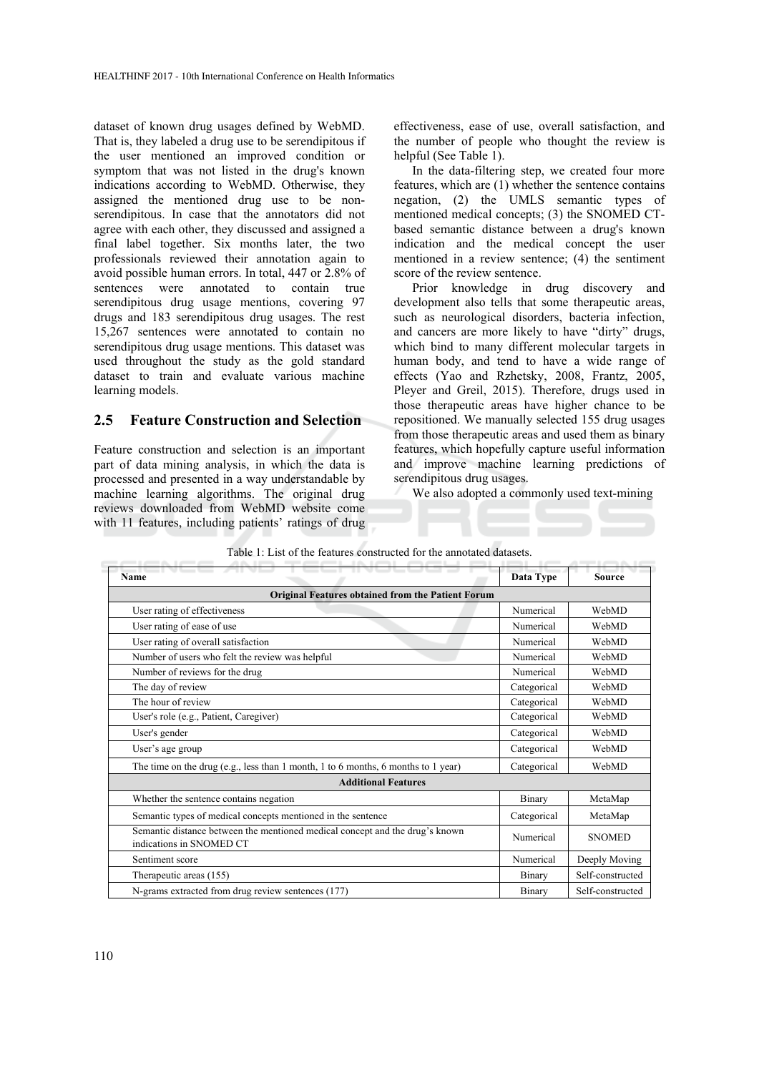dataset of known drug usages defined by WebMD. That is, they labeled a drug use to be serendipitous if the user mentioned an improved condition or symptom that was not listed in the drug's known indications according to WebMD. Otherwise, they assigned the mentioned drug use to be nonserendipitous. In case that the annotators did not agree with each other, they discussed and assigned a final label together. Six months later, the two professionals reviewed their annotation again to avoid possible human errors. In total, 447 or 2.8% of sentences were annotated to contain true serendipitous drug usage mentions, covering 97 drugs and 183 serendipitous drug usages. The rest 15,267 sentences were annotated to contain no serendipitous drug usage mentions. This dataset was used throughout the study as the gold standard dataset to train and evaluate various machine learning models.

#### **2.5 Feature Construction and Selection**

Feature construction and selection is an important part of data mining analysis, in which the data is processed and presented in a way understandable by machine learning algorithms. The original drug reviews downloaded from WebMD website come with 11 features, including patients' ratings of drug

effectiveness, ease of use, overall satisfaction, and the number of people who thought the review is helpful (See Table 1).

In the data-filtering step, we created four more features, which are (1) whether the sentence contains negation, (2) the UMLS semantic types of mentioned medical concepts; (3) the SNOMED CTbased semantic distance between a drug's known indication and the medical concept the user mentioned in a review sentence; (4) the sentiment score of the review sentence.

Prior knowledge in drug discovery and development also tells that some therapeutic areas, such as neurological disorders, bacteria infection, and cancers are more likely to have "dirty" drugs, which bind to many different molecular targets in human body, and tend to have a wide range of effects (Yao and Rzhetsky, 2008, Frantz, 2005, Pleyer and Greil, 2015). Therefore, drugs used in those therapeutic areas have higher chance to be repositioned. We manually selected 155 drug usages from those therapeutic areas and used them as binary features, which hopefully capture useful information and improve machine learning predictions of serendipitous drug usages.

We also adopted a commonly used text-mining

| Name                                                                                                     | Data Type   | <b>Source</b>    |  |  |  |  |  |
|----------------------------------------------------------------------------------------------------------|-------------|------------------|--|--|--|--|--|
| <b>Original Features obtained from the Patient Forum</b>                                                 |             |                  |  |  |  |  |  |
| User rating of effectiveness                                                                             | Numerical   | WebMD            |  |  |  |  |  |
| User rating of ease of use                                                                               | Numerical   | WebMD            |  |  |  |  |  |
| User rating of overall satisfaction                                                                      | Numerical   | WebMD            |  |  |  |  |  |
| Number of users who felt the review was helpful                                                          | Numerical   | WebMD            |  |  |  |  |  |
| Number of reviews for the drug                                                                           | Numerical   | WebMD            |  |  |  |  |  |
| The day of review                                                                                        | Categorical | WebMD            |  |  |  |  |  |
| The hour of review                                                                                       | Categorical | WebMD            |  |  |  |  |  |
| User's role (e.g., Patient, Caregiver)                                                                   | Categorical | WebMD            |  |  |  |  |  |
| User's gender                                                                                            | Categorical | WebMD            |  |  |  |  |  |
| User's age group                                                                                         | Categorical | WebMD            |  |  |  |  |  |
| The time on the drug (e.g., less than 1 month, 1 to 6 months, 6 months to 1 year)                        | Categorical | WebMD            |  |  |  |  |  |
| <b>Additional Features</b>                                                                               |             |                  |  |  |  |  |  |
| Whether the sentence contains negation                                                                   | Binary      | MetaMap          |  |  |  |  |  |
| Semantic types of medical concepts mentioned in the sentence                                             | Categorical | MetaMap          |  |  |  |  |  |
| Semantic distance between the mentioned medical concept and the drug's known<br>indications in SNOMED CT | Numerical   | <b>SNOMED</b>    |  |  |  |  |  |
| Sentiment score                                                                                          | Numerical   | Deeply Moving    |  |  |  |  |  |
| Therapeutic areas (155)                                                                                  | Binary      | Self-constructed |  |  |  |  |  |
| N-grams extracted from drug review sentences (177)                                                       | Binary      | Self-constructed |  |  |  |  |  |

|  |  |  |  | Table 1: List of the features constructed for the annotated datasets. |  |
|--|--|--|--|-----------------------------------------------------------------------|--|
|--|--|--|--|-----------------------------------------------------------------------|--|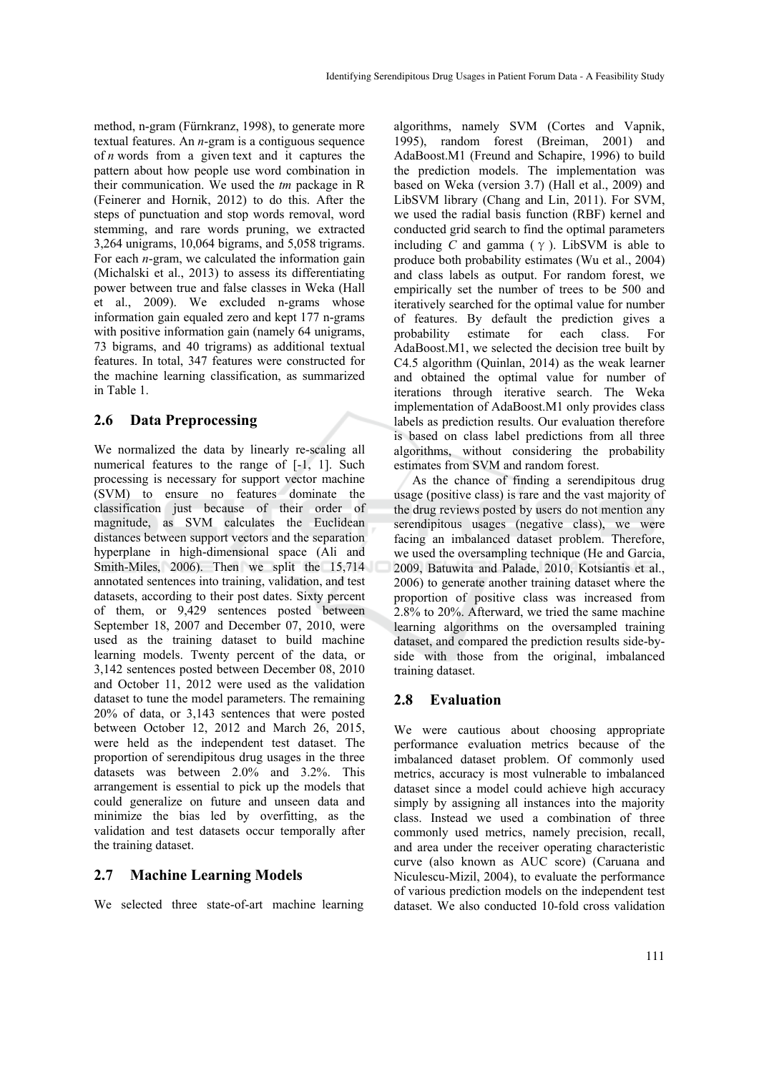method, n-gram (Fürnkranz, 1998), to generate more textual features. An *n*-gram is a contiguous sequence of *n* words from a given text and it captures the pattern about how people use word combination in their communication. We used the *tm* package in R (Feinerer and Hornik, 2012) to do this. After the steps of punctuation and stop words removal, word stemming, and rare words pruning, we extracted 3,264 unigrams, 10,064 bigrams, and 5,058 trigrams. For each *n*-gram, we calculated the information gain (Michalski et al., 2013) to assess its differentiating power between true and false classes in Weka (Hall et al., 2009). We excluded n-grams whose information gain equaled zero and kept 177 n-grams with positive information gain (namely 64 unigrams, 73 bigrams, and 40 trigrams) as additional textual features. In total, 347 features were constructed for the machine learning classification, as summarized in Table 1.

### **2.6 Data Preprocessing**

We normalized the data by linearly re-scaling all numerical features to the range of  $[-1, 1]$ . Such processing is necessary for support vector machine (SVM) to ensure no features dominate the classification just because of their order of magnitude, as SVM calculates the Euclidean distances between support vectors and the separation hyperplane in high-dimensional space (Ali and Smith-Miles, 2006). Then we split the 15,714 annotated sentences into training, validation, and test datasets, according to their post dates. Sixty percent of them, or 9,429 sentences posted between September 18, 2007 and December 07, 2010, were used as the training dataset to build machine learning models. Twenty percent of the data, or 3,142 sentences posted between December 08, 2010 and October 11, 2012 were used as the validation dataset to tune the model parameters. The remaining 20% of data, or 3,143 sentences that were posted between October 12, 2012 and March 26, 2015, were held as the independent test dataset. The proportion of serendipitous drug usages in the three datasets was between 2.0% and 3.2%. This arrangement is essential to pick up the models that could generalize on future and unseen data and minimize the bias led by overfitting, as the validation and test datasets occur temporally after the training dataset.

### **2.7 Machine Learning Models**

We selected three state-of-art machine learning

algorithms, namely SVM (Cortes and Vapnik, 1995), random forest (Breiman, 2001) and AdaBoost.M1 (Freund and Schapire, 1996) to build the prediction models. The implementation was based on Weka (version 3.7) (Hall et al., 2009) and LibSVM library (Chang and Lin, 2011). For SVM, we used the radial basis function (RBF) kernel and conducted grid search to find the optimal parameters including *C* and gamma ( $\gamma$ ). LibSVM is able to produce both probability estimates (Wu et al., 2004) and class labels as output. For random forest, we empirically set the number of trees to be 500 and iteratively searched for the optimal value for number of features. By default the prediction gives a probability estimate for each class. For AdaBoost.M1, we selected the decision tree built by C4.5 algorithm (Quinlan, 2014) as the weak learner and obtained the optimal value for number of iterations through iterative search. The Weka implementation of AdaBoost.M1 only provides class labels as prediction results. Our evaluation therefore is based on class label predictions from all three algorithms, without considering the probability estimates from SVM and random forest.

As the chance of finding a serendipitous drug usage (positive class) is rare and the vast majority of the drug reviews posted by users do not mention any serendipitous usages (negative class), we were facing an imbalanced dataset problem. Therefore, we used the oversampling technique (He and Garcia, 2009, Batuwita and Palade, 2010, Kotsiantis et al., 2006) to generate another training dataset where the proportion of positive class was increased from 2.8% to 20%. Afterward, we tried the same machine learning algorithms on the oversampled training dataset, and compared the prediction results side-byside with those from the original, imbalanced training dataset.

### **2.8 Evaluation**

We were cautious about choosing appropriate performance evaluation metrics because of the imbalanced dataset problem. Of commonly used metrics, accuracy is most vulnerable to imbalanced dataset since a model could achieve high accuracy simply by assigning all instances into the majority class. Instead we used a combination of three commonly used metrics, namely precision, recall, and area under the receiver operating characteristic curve (also known as AUC score) (Caruana and Niculescu-Mizil, 2004), to evaluate the performance of various prediction models on the independent test dataset. We also conducted 10-fold cross validation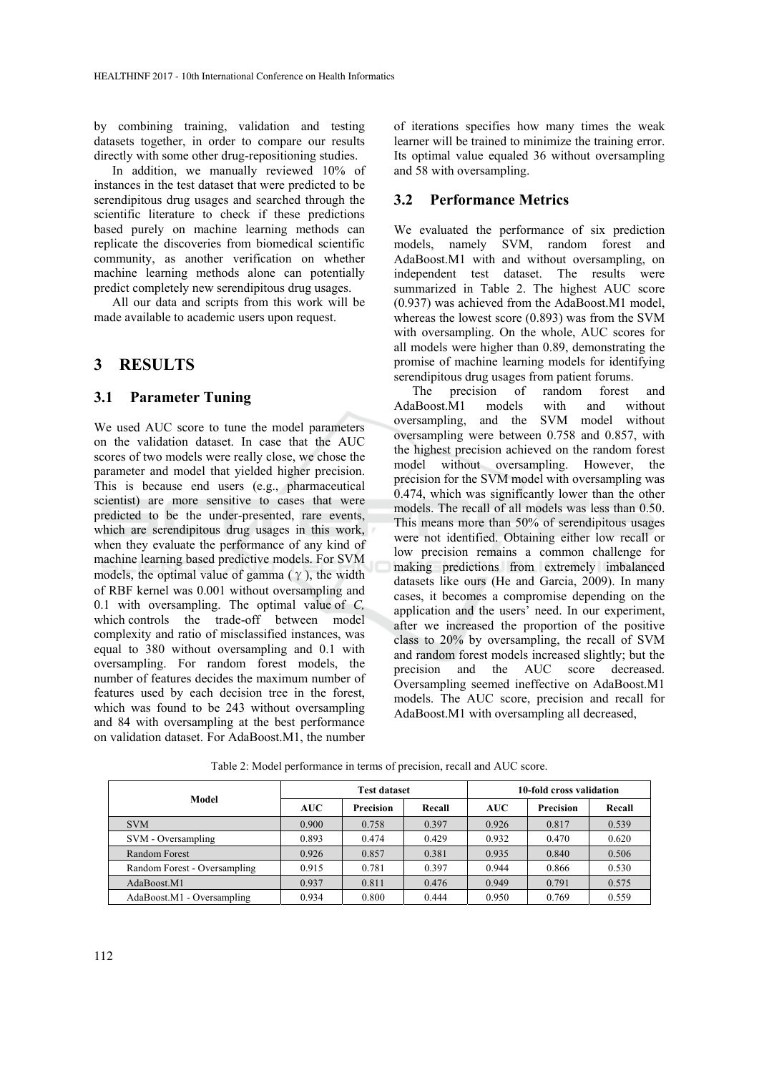by combining training, validation and testing datasets together, in order to compare our results directly with some other drug-repositioning studies.

In addition, we manually reviewed 10% of instances in the test dataset that were predicted to be serendipitous drug usages and searched through the scientific literature to check if these predictions based purely on machine learning methods can replicate the discoveries from biomedical scientific community, as another verification on whether machine learning methods alone can potentially predict completely new serendipitous drug usages.

All our data and scripts from this work will be made available to academic users upon request.

### **3 RESULTS**

#### **3.1 Parameter Tuning**

We used AUC score to tune the model parameters on the validation dataset. In case that the AUC scores of two models were really close, we chose the parameter and model that yielded higher precision. This is because end users (e.g., pharmaceutical scientist) are more sensitive to cases that were predicted to be the under-presented, rare events, which are serendipitous drug usages in this work, when they evaluate the performance of any kind of machine learning based predictive models. For SVM models, the optimal value of gamma  $(\gamma)$ , the width of RBF kernel was 0.001 without oversampling and 0.1 with oversampling. The optimal value of *C,*  which controls the trade-off between model complexity and ratio of misclassified instances, was equal to 380 without oversampling and 0.1 with oversampling. For random forest models, the number of features decides the maximum number of features used by each decision tree in the forest, which was found to be 243 without oversampling and 84 with oversampling at the best performance on validation dataset. For AdaBoost.M1, the number

of iterations specifies how many times the weak learner will be trained to minimize the training error. Its optimal value equaled 36 without oversampling and 58 with oversampling.

#### **3.2 Performance Metrics**

We evaluated the performance of six prediction models, namely SVM, random forest and AdaBoost.M1 with and without oversampling, on independent test dataset. The results were summarized in Table 2. The highest AUC score (0.937) was achieved from the AdaBoost.M1 model, whereas the lowest score (0.893) was from the SVM with oversampling. On the whole, AUC scores for all models were higher than 0.89, demonstrating the promise of machine learning models for identifying serendipitous drug usages from patient forums.

The precision of random forest and AdaBoost.M1 models with and without oversampling, and the SVM model without oversampling were between 0.758 and 0.857, with the highest precision achieved on the random forest model without oversampling. However, the precision for the SVM model with oversampling was 0.474, which was significantly lower than the other models. The recall of all models was less than 0.50. This means more than 50% of serendipitous usages were not identified. Obtaining either low recall or low precision remains a common challenge for making predictions from extremely imbalanced datasets like ours (He and Garcia, 2009). In many cases, it becomes a compromise depending on the application and the users' need. In our experiment, after we increased the proportion of the positive class to 20% by oversampling, the recall of SVM and random forest models increased slightly; but the precision and the AUC score decreased. Oversampling seemed ineffective on AdaBoost.M1 models. The AUC score, precision and recall for AdaBoost.M1 with oversampling all decreased,

|                              | <b>Test dataset</b> |                  |        | 10-fold cross validation |                  |        |  |  |  |
|------------------------------|---------------------|------------------|--------|--------------------------|------------------|--------|--|--|--|
| Model                        | <b>AUC</b>          | <b>Precision</b> | Recall | <b>AUC</b>               | <b>Precision</b> | Recall |  |  |  |
| <b>SVM</b>                   | 0.900               | 0.758            | 0.397  | 0.926                    | 0.817            | 0.539  |  |  |  |
| SVM - Oversampling           | 0.893               | 0.474            | 0.429  | 0.932                    | 0.470            | 0.620  |  |  |  |
| Random Forest                | 0.926               | 0.857            | 0.381  | 0.935                    | 0.840            | 0.506  |  |  |  |
| Random Forest - Oversampling | 0.915               | 0.781            | 0.397  | 0.944                    | 0.866            | 0.530  |  |  |  |
| AdaBoost.M1                  | 0.937               | 0.811            | 0.476  | 0.949                    | 0.791            | 0.575  |  |  |  |
| AdaBoost.M1 - Oversampling   | 0.934               | 0.800            | 0.444  | 0.950                    | 0.769            | 0.559  |  |  |  |

Table 2: Model performance in terms of precision, recall and AUC score.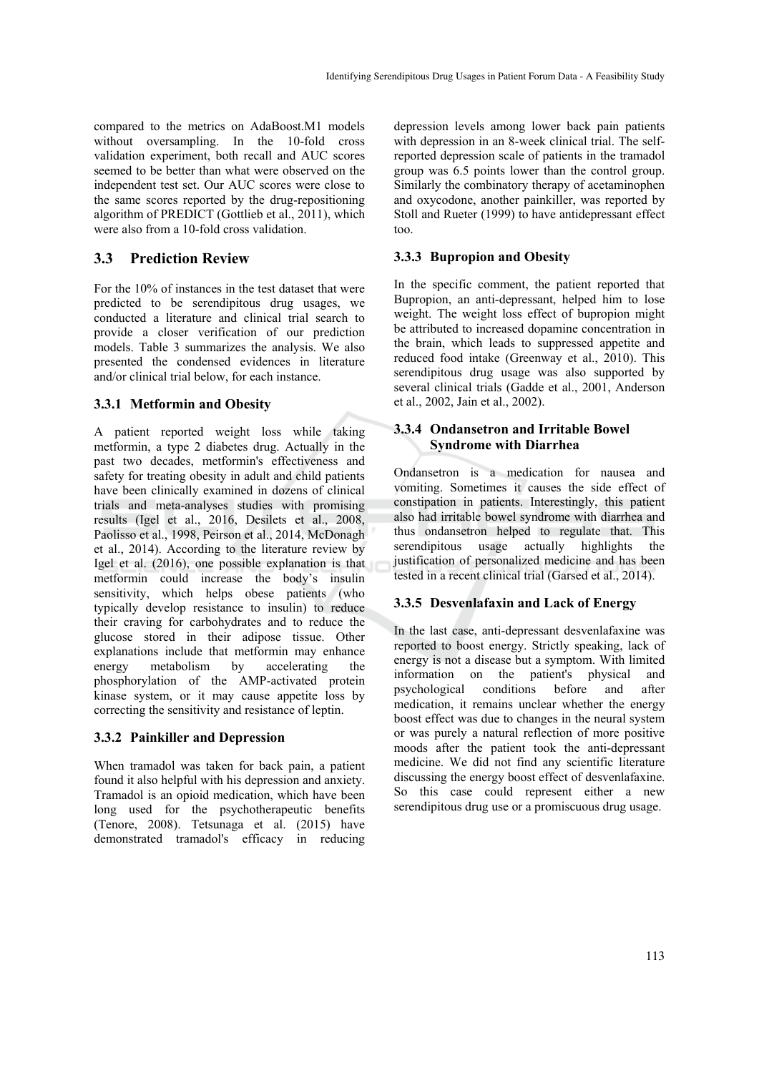compared to the metrics on AdaBoost.M1 models without oversampling. In the 10-fold cross validation experiment, both recall and AUC scores seemed to be better than what were observed on the independent test set. Our AUC scores were close to the same scores reported by the drug-repositioning algorithm of PREDICT (Gottlieb et al., 2011), which were also from a 10-fold cross validation.

### **3.3 Prediction Review**

For the 10% of instances in the test dataset that were predicted to be serendipitous drug usages, we conducted a literature and clinical trial search to provide a closer verification of our prediction models. Table 3 summarizes the analysis. We also presented the condensed evidences in literature and/or clinical trial below, for each instance.

#### **3.3.1 Metformin and Obesity**

A patient reported weight loss while taking metformin, a type 2 diabetes drug. Actually in the past two decades, metformin's effectiveness and safety for treating obesity in adult and child patients have been clinically examined in dozens of clinical trials and meta-analyses studies with promising results (Igel et al., 2016, Desilets et al., 2008, Paolisso et al., 1998, Peirson et al., 2014, McDonagh et al., 2014). According to the literature review by Igel et al. (2016), one possible explanation is that metformin could increase the body's insulin sensitivity, which helps obese patients (who typically develop resistance to insulin) to reduce their craving for carbohydrates and to reduce the glucose stored in their adipose tissue. Other explanations include that metformin may enhance energy metabolism by accelerating the phosphorylation of the AMP-activated protein kinase system, or it may cause appetite loss by correcting the sensitivity and resistance of leptin.

### **3.3.2 Painkiller and Depression**

When tramadol was taken for back pain, a patient found it also helpful with his depression and anxiety. Tramadol is an opioid medication, which have been long used for the psychotherapeutic benefits (Tenore, 2008). Tetsunaga et al. (2015) have demonstrated tramadol's efficacy in reducing

depression levels among lower back pain patients with depression in an 8-week clinical trial. The selfreported depression scale of patients in the tramadol group was 6.5 points lower than the control group. Similarly the combinatory therapy of acetaminophen and oxycodone, another painkiller, was reported by Stoll and Rueter (1999) to have antidepressant effect too.

#### **3.3.3 Bupropion and Obesity**

In the specific comment, the patient reported that Bupropion, an anti-depressant, helped him to lose weight. The weight loss effect of bupropion might be attributed to increased dopamine concentration in the brain, which leads to suppressed appetite and reduced food intake (Greenway et al., 2010). This serendipitous drug usage was also supported by several clinical trials (Gadde et al., 2001, Anderson et al., 2002, Jain et al., 2002).

#### **3.3.4 Ondansetron and Irritable Bowel Syndrome with Diarrhea**

Ondansetron is a medication for nausea and vomiting. Sometimes it causes the side effect of constipation in patients. Interestingly, this patient also had irritable bowel syndrome with diarrhea and thus ondansetron helped to regulate that. This serendipitous usage actually highlights the justification of personalized medicine and has been tested in a recent clinical trial (Garsed et al., 2014).

### **3.3.5 Desvenlafaxin and Lack of Energy**

In the last case, anti-depressant desvenlafaxine was reported to boost energy. Strictly speaking, lack of energy is not a disease but a symptom. With limited information on the patient's physical and psychological conditions before and after medication, it remains unclear whether the energy boost effect was due to changes in the neural system or was purely a natural reflection of more positive moods after the patient took the anti-depressant medicine. We did not find any scientific literature discussing the energy boost effect of desvenlafaxine. So this case could represent either a new serendipitous drug use or a promiscuous drug usage.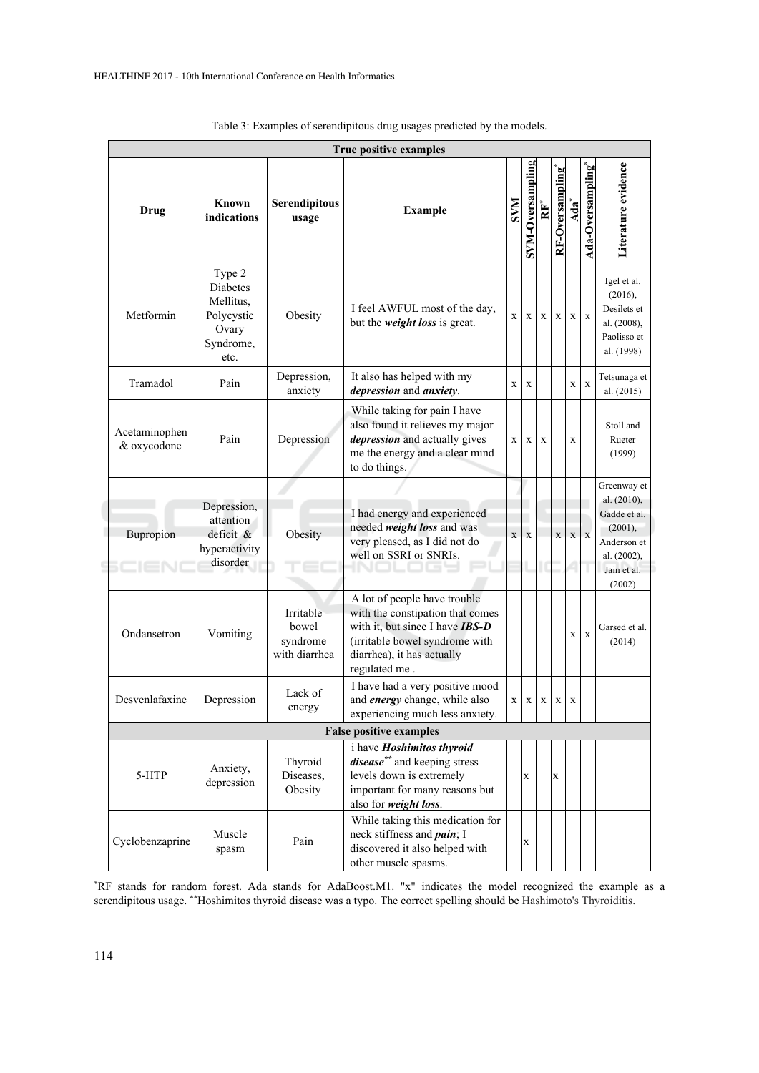| True positive examples         |                                                                             |                                                 |                                                                                                                                                                                             |             |                         |             |                 |                  |                   |                                                                                                              |
|--------------------------------|-----------------------------------------------------------------------------|-------------------------------------------------|---------------------------------------------------------------------------------------------------------------------------------------------------------------------------------------------|-------------|-------------------------|-------------|-----------------|------------------|-------------------|--------------------------------------------------------------------------------------------------------------|
| <b>Drug</b>                    | Known<br>indications                                                        | Serendipitous<br>usage                          | <b>Example</b>                                                                                                                                                                              | <b>NNS</b>  | <b>SVM-Oversampling</b> | È           | RF-Oversampling | Ada <sup>*</sup> | Ada-Oversampling* | Literature evidence                                                                                          |
| Metformin                      | Type 2<br>Diabetes<br>Mellitus,<br>Polycystic<br>Ovary<br>Syndrome,<br>etc. | Obesity                                         | I feel AWFUL most of the day,<br>but the <i>weight loss</i> is great.                                                                                                                       | X           | $\mathbf x$             | X           | X               | $\mathbf x$      | $\mathbf{x}$      | Igel et al.<br>(2016),<br>Desilets et<br>al. (2008),<br>Paolisso et<br>al. (1998)                            |
| Tramadol                       | Pain                                                                        | Depression,<br>anxiety                          | It also has helped with my<br>depression and anxiety.                                                                                                                                       | X           | X                       |             |                 | $\mathbf X$      | X                 | Tetsunaga et<br>al. $(2015)$                                                                                 |
| Acetaminophen<br>& oxycodone   | Pain                                                                        | Depression                                      | While taking for pain I have<br>also found it relieves my major<br>depression and actually gives<br>me the energy and a clear mind<br>to do things.                                         | $\mathbf x$ | X                       | X           |                 | $\mathbf x$      |                   | Stoll and<br>Rueter<br>(1999)                                                                                |
| Bupropion                      | Depression,<br>attention<br>$deficit \&$<br>hyperactivity<br>disorder       | Obesity                                         | I had energy and experienced<br>needed weight loss and was<br>very pleased, as I did not do<br>well on SSRI or SNRIs.                                                                       | X           | $\bf{X}$                |             | $\bar{X}$       | $\mathbf x$      | $\mathbf{x}$      | Greenway et<br>al. (2010),<br>Gadde et al.<br>(2001),<br>Anderson et<br>al. (2002),<br>Jain et al.<br>(2002) |
| Ondansetron                    | Vomiting                                                                    | Irritable<br>bowel<br>syndrome<br>with diarrhea | A lot of people have trouble<br>with the constipation that comes<br>with it, but since I have <b>IBS-D</b><br>(irritable bowel syndrome with<br>diarrhea), it has actually<br>regulated me. |             |                         |             |                 | X                | $\bf{X}$          | Garsed et al.<br>(2014)                                                                                      |
| Desvenlafaxine                 | Depression                                                                  | Lack of<br>energy                               | I have had a very positive mood<br>and <i>energy</i> change, while also<br>experiencing much less anxiety.                                                                                  | X           | $\mathbf X$             | $\mathbf x$ | $\mathbf X$     | $\mathbf X$      |                   |                                                                                                              |
| <b>False positive examples</b> |                                                                             |                                                 |                                                                                                                                                                                             |             |                         |             |                 |                  |                   |                                                                                                              |
| 5-HTP                          | Anxiety,<br>depression                                                      | Thyroid<br>Diseases,<br>Obesity                 | i have Hoshimitos thyroid<br><i>disease</i> <sup>**</sup> and keeping stress<br>levels down is extremely<br>important for many reasons but<br>also for weight loss.                         |             | $\mathbf X$             |             | $\mathbf X$     |                  |                   |                                                                                                              |
| Cyclobenzaprine                | Muscle<br>spasm                                                             | Pain                                            | While taking this medication for<br>neck stiffness and <i>pain</i> ; I<br>discovered it also helped with<br>other muscle spasms.                                                            |             | $\mathbf X$             |             |                 |                  |                   |                                                                                                              |

Table 3: Examples of serendipitous drug usages predicted by the models.

\*RF stands for random forest. Ada stands for AdaBoost.M1. "x" indicates the model recognized the example as a serendipitous usage. \*\*Hoshimitos thyroid disease was a typo. The correct spelling should be Hashimoto's Thyroiditis.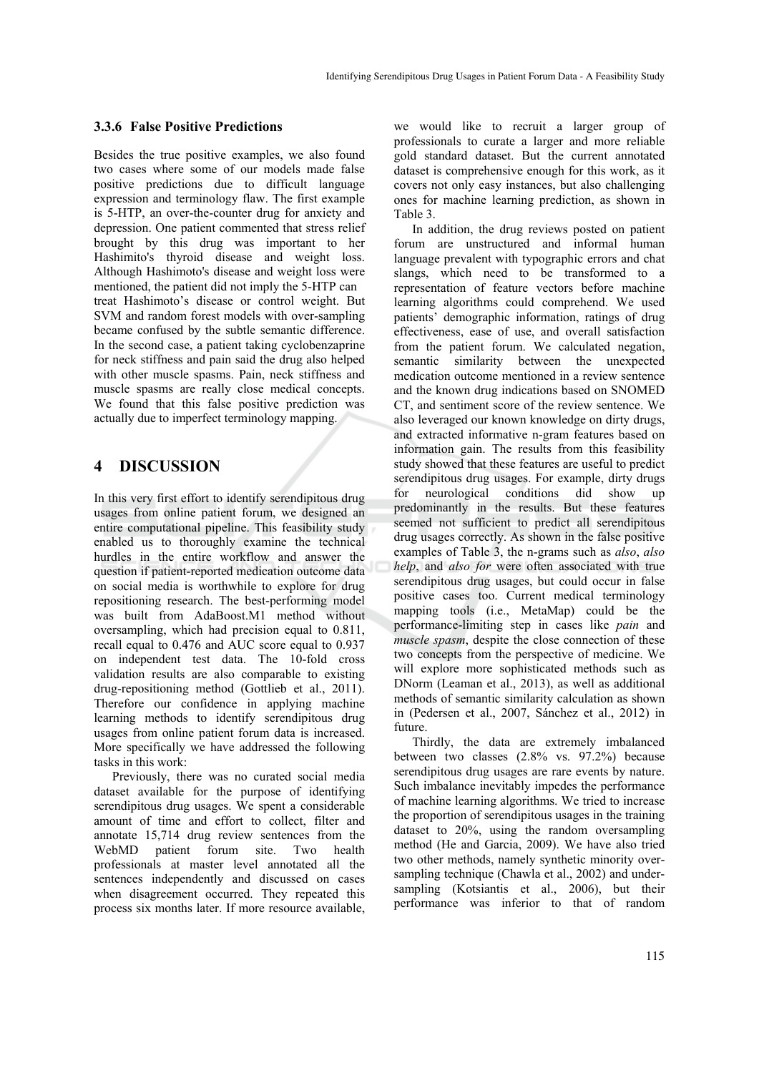#### **3.3.6 False Positive Predictions**

Besides the true positive examples, we also found two cases where some of our models made false positive predictions due to difficult language expression and terminology flaw. The first example is 5-HTP, an over-the-counter drug for anxiety and depression. One patient commented that stress relief brought by this drug was important to her Hashimito's thyroid disease and weight loss. Although Hashimoto's disease and weight loss were mentioned, the patient did not imply the 5-HTP can treat Hashimoto's disease or control weight. But SVM and random forest models with over-sampling became confused by the subtle semantic difference. In the second case, a patient taking cyclobenzaprine for neck stiffness and pain said the drug also helped with other muscle spasms. Pain, neck stiffness and muscle spasms are really close medical concepts. We found that this false positive prediction was actually due to imperfect terminology mapping.

### **4 DISCUSSION**

In this very first effort to identify serendipitous drug usages from online patient forum, we designed an entire computational pipeline. This feasibility study enabled us to thoroughly examine the technical hurdles in the entire workflow and answer the question if patient-reported medication outcome data on social media is worthwhile to explore for drug repositioning research. The best-performing model was built from AdaBoost.M1 method without oversampling, which had precision equal to 0.811, recall equal to 0.476 and AUC score equal to 0.937 on independent test data. The 10-fold cross validation results are also comparable to existing drug-repositioning method (Gottlieb et al., 2011). Therefore our confidence in applying machine learning methods to identify serendipitous drug usages from online patient forum data is increased. More specifically we have addressed the following tasks in this work:

Previously, there was no curated social media dataset available for the purpose of identifying serendipitous drug usages. We spent a considerable amount of time and effort to collect, filter and annotate 15,714 drug review sentences from the WebMD patient forum site. Two health professionals at master level annotated all the sentences independently and discussed on cases when disagreement occurred. They repeated this process six months later. If more resource available,

we would like to recruit a larger group of professionals to curate a larger and more reliable gold standard dataset. But the current annotated dataset is comprehensive enough for this work, as it covers not only easy instances, but also challenging ones for machine learning prediction, as shown in Table 3.

In addition, the drug reviews posted on patient forum are unstructured and informal human language prevalent with typographic errors and chat slangs, which need to be transformed to a representation of feature vectors before machine learning algorithms could comprehend. We used patients' demographic information, ratings of drug effectiveness, ease of use, and overall satisfaction from the patient forum. We calculated negation, semantic similarity between the unexpected medication outcome mentioned in a review sentence and the known drug indications based on SNOMED CT, and sentiment score of the review sentence. We also leveraged our known knowledge on dirty drugs, and extracted informative n-gram features based on information gain. The results from this feasibility study showed that these features are useful to predict serendipitous drug usages. For example, dirty drugs for neurological conditions did show up predominantly in the results. But these features seemed not sufficient to predict all serendipitous drug usages correctly. As shown in the false positive examples of Table 3, the n-grams such as *also*, *also help*, and *also for* were often associated with true serendipitous drug usages, but could occur in false positive cases too. Current medical terminology mapping tools (i.e., MetaMap) could be the performance-limiting step in cases like *pain* and *muscle spasm*, despite the close connection of these two concepts from the perspective of medicine. We will explore more sophisticated methods such as DNorm (Leaman et al., 2013), as well as additional methods of semantic similarity calculation as shown in (Pedersen et al., 2007, Sánchez et al., 2012) in future.

Thirdly, the data are extremely imbalanced between two classes (2.8% vs. 97.2%) because serendipitous drug usages are rare events by nature. Such imbalance inevitably impedes the performance of machine learning algorithms. We tried to increase the proportion of serendipitous usages in the training dataset to 20%, using the random oversampling method (He and Garcia, 2009). We have also tried two other methods, namely synthetic minority oversampling technique (Chawla et al., 2002) and undersampling (Kotsiantis et al., 2006), but their performance was inferior to that of random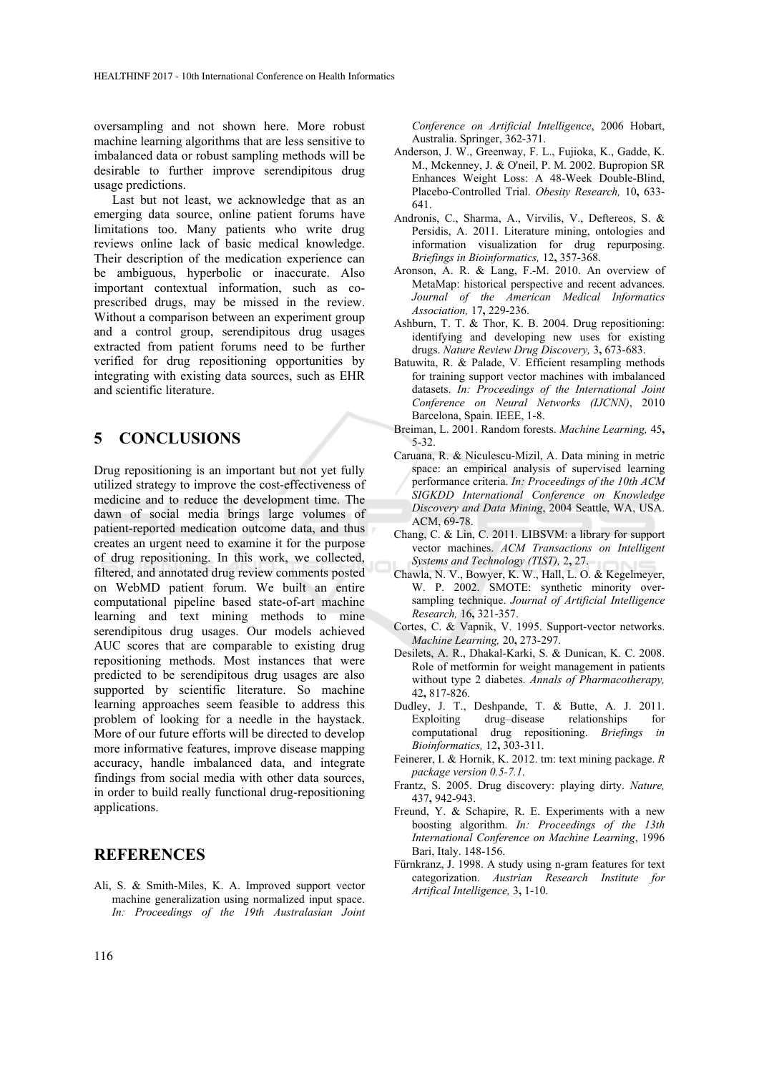oversampling and not shown here. More robust machine learning algorithms that are less sensitive to imbalanced data or robust sampling methods will be desirable to further improve serendipitous drug usage predictions.

Last but not least, we acknowledge that as an emerging data source, online patient forums have limitations too. Many patients who write drug reviews online lack of basic medical knowledge. Their description of the medication experience can be ambiguous, hyperbolic or inaccurate. Also important contextual information, such as coprescribed drugs, may be missed in the review. Without a comparison between an experiment group and a control group, serendipitous drug usages extracted from patient forums need to be further verified for drug repositioning opportunities by integrating with existing data sources, such as EHR and scientific literature.

## **5 CONCLUSIONS**

Drug repositioning is an important but not yet fully utilized strategy to improve the cost-effectiveness of medicine and to reduce the development time. The dawn of social media brings large volumes of patient-reported medication outcome data, and thus creates an urgent need to examine it for the purpose of drug repositioning. In this work, we collected, filtered, and annotated drug review comments posted on WebMD patient forum. We built an entire computational pipeline based state-of-art machine learning and text mining methods to mine serendipitous drug usages. Our models achieved AUC scores that are comparable to existing drug repositioning methods. Most instances that were predicted to be serendipitous drug usages are also supported by scientific literature. So machine learning approaches seem feasible to address this problem of looking for a needle in the haystack. More of our future efforts will be directed to develop more informative features, improve disease mapping accuracy, handle imbalanced data, and integrate findings from social media with other data sources, in order to build really functional drug-repositioning applications.

### **REFERENCES**

Ali, S. & Smith-Miles, K. A. Improved support vector machine generalization using normalized input space. *In: Proceedings of the 19th Australasian Joint*  *Conference on Artificial Intelligence*, 2006 Hobart, Australia. Springer, 362-371.

- Anderson, J. W., Greenway, F. L., Fujioka, K., Gadde, K. M., Mckenney, J. & O'neil, P. M. 2002. Bupropion SR Enhances Weight Loss: A 48-Week Double-Blind, Placebo-Controlled Trial. *Obesity Research,* 10**,** 633- 641.
- Andronis, C., Sharma, A., Virvilis, V., Deftereos, S. & Persidis, A. 2011. Literature mining, ontologies and information visualization for drug repurposing. *Briefings in Bioinformatics,* 12**,** 357-368.
- Aronson, A. R. & Lang, F.-M. 2010. An overview of MetaMap: historical perspective and recent advances. *Journal of the American Medical Informatics Association,* 17**,** 229-236.
- Ashburn, T. T. & Thor, K. B. 2004. Drug repositioning: identifying and developing new uses for existing drugs. *Nature Review Drug Discovery,* 3**,** 673-683.
- Batuwita, R. & Palade, V. Efficient resampling methods for training support vector machines with imbalanced datasets. *In: Proceedings of the International Joint Conference on Neural Networks (IJCNN)*, 2010 Barcelona, Spain. IEEE, 1-8.
- Breiman, L. 2001. Random forests. *Machine Learning,* 45**,** 5-32.
- Caruana, R. & Niculescu-Mizil, A. Data mining in metric space: an empirical analysis of supervised learning performance criteria. *In: Proceedings of the 10th ACM SIGKDD International Conference on Knowledge Discovery and Data Mining*, 2004 Seattle, WA, USA. ACM, 69-78.
- Chang, C. & Lin, C. 2011. LIBSVM: a library for support vector machines. *ACM Transactions on Intelligent Systems and Technology (TIST),* 2**,** 27.
- Chawla, N. V., Bowyer, K. W., Hall, L. O. & Kegelmeyer, W. P. 2002. SMOTE: synthetic minority oversampling technique. *Journal of Artificial Intelligence Research,* 16**,** 321-357.
- Cortes, C. & Vapnik, V. 1995. Support-vector networks. *Machine Learning,* 20**,** 273-297.
- Desilets, A. R., Dhakal-Karki, S. & Dunican, K. C. 2008. Role of metformin for weight management in patients without type 2 diabetes. *Annals of Pharmacotherapy,* 42**,** 817-826.
- Dudley, J. T., Deshpande, T. & Butte, A. J. 2011. Exploiting drug–disease relationships for computational drug repositioning. *Briefings in Bioinformatics,* 12**,** 303-311.
- Feinerer, I. & Hornik, K. 2012. tm: text mining package. *R package version 0.5-7.1*.
- Frantz, S. 2005. Drug discovery: playing dirty. *Nature,* 437**,** 942-943.
- Freund, Y. & Schapire, R. E. Experiments with a new boosting algorithm. *In: Proceedings of the 13th International Conference on Machine Learning*, 1996 Bari, Italy. 148-156.
- Fürnkranz, J. 1998. A study using n-gram features for text categorization. *Austrian Research Institute for Artifical Intelligence,* 3**,** 1-10.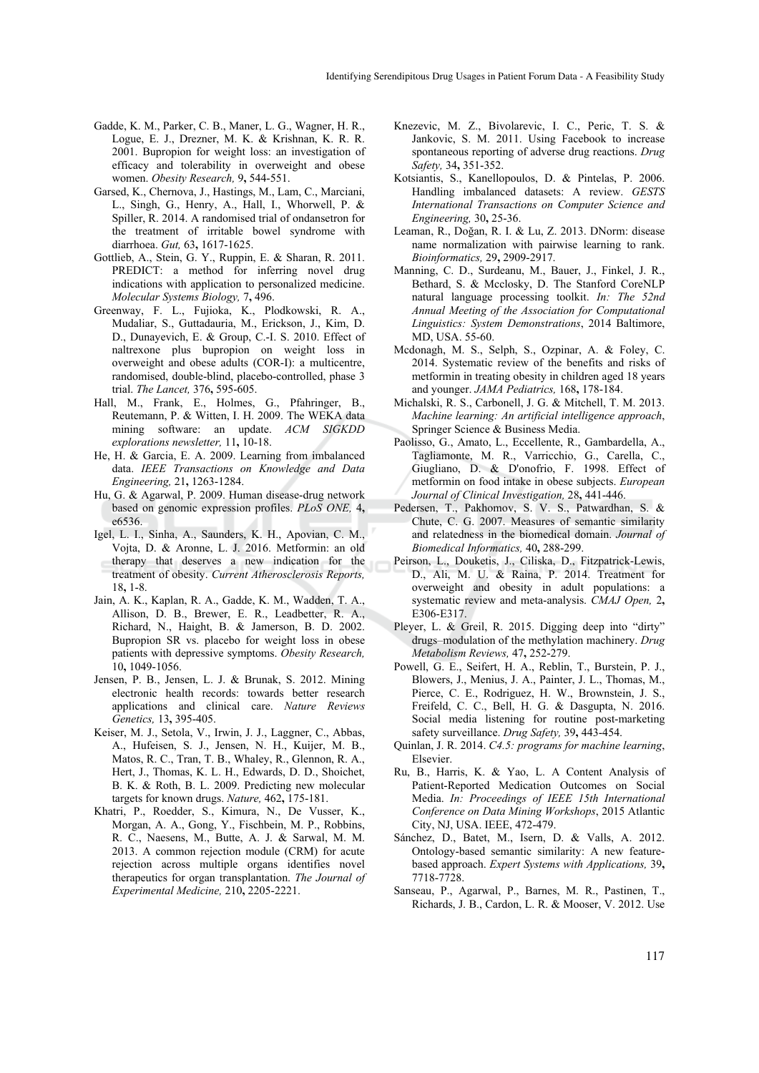- Gadde, K. M., Parker, C. B., Maner, L. G., Wagner, H. R., Logue, E. J., Drezner, M. K. & Krishnan, K. R. R. 2001. Bupropion for weight loss: an investigation of efficacy and tolerability in overweight and obese women. *Obesity Research,* 9**,** 544-551.
- Garsed, K., Chernova, J., Hastings, M., Lam, C., Marciani, L., Singh, G., Henry, A., Hall, I., Whorwell, P. & Spiller, R. 2014. A randomised trial of ondansetron for the treatment of irritable bowel syndrome with diarrhoea. *Gut,* 63**,** 1617-1625.
- Gottlieb, A., Stein, G. Y., Ruppin, E. & Sharan, R. 2011. PREDICT: a method for inferring novel drug indications with application to personalized medicine. *Molecular Systems Biology,* 7**,** 496.
- Greenway, F. L., Fujioka, K., Plodkowski, R. A., Mudaliar, S., Guttadauria, M., Erickson, J., Kim, D. D., Dunayevich, E. & Group, C.-I. S. 2010. Effect of naltrexone plus bupropion on weight loss in overweight and obese adults (COR-I): a multicentre, randomised, double-blind, placebo-controlled, phase 3 trial. *The Lancet,* 376**,** 595-605.
- Hall, M., Frank, E., Holmes, G., Pfahringer, B., Reutemann, P. & Witten, I. H. 2009. The WEKA data mining software: an update. *ACM SIGKDD explorations newsletter,* 11**,** 10-18.
- He, H. & Garcia, E. A. 2009. Learning from imbalanced data. *IEEE Transactions on Knowledge and Data Engineering,* 21**,** 1263-1284.
- Hu, G. & Agarwal, P. 2009. Human disease-drug network based on genomic expression profiles. *PLoS ONE,* 4**,** e6536.
- Igel, L. I., Sinha, A., Saunders, K. H., Apovian, C. M., Vojta, D. & Aronne, L. J. 2016. Metformin: an old therapy that deserves a new indication for the treatment of obesity. *Current Atherosclerosis Reports,* 18**,** 1-8.
- Jain, A. K., Kaplan, R. A., Gadde, K. M., Wadden, T. A., Allison, D. B., Brewer, E. R., Leadbetter, R. A., Richard, N., Haight, B. & Jamerson, B. D. 2002. Bupropion SR vs. placebo for weight loss in obese patients with depressive symptoms. *Obesity Research,* 10**,** 1049-1056.
- Jensen, P. B., Jensen, L. J. & Brunak, S. 2012. Mining electronic health records: towards better research applications and clinical care. *Nature Reviews Genetics,* 13**,** 395-405.
- Keiser, M. J., Setola, V., Irwin, J. J., Laggner, C., Abbas, A., Hufeisen, S. J., Jensen, N. H., Kuijer, M. B., Matos, R. C., Tran, T. B., Whaley, R., Glennon, R. A., Hert, J., Thomas, K. L. H., Edwards, D. D., Shoichet, B. K. & Roth, B. L. 2009. Predicting new molecular targets for known drugs. *Nature,* 462**,** 175-181.
- Khatri, P., Roedder, S., Kimura, N., De Vusser, K., Morgan, A. A., Gong, Y., Fischbein, M. P., Robbins, R. C., Naesens, M., Butte, A. J. & Sarwal, M. M. 2013. A common rejection module (CRM) for acute rejection across multiple organs identifies novel therapeutics for organ transplantation. *The Journal of Experimental Medicine,* 210**,** 2205-2221.
- Knezevic, M. Z., Bivolarevic, I. C., Peric, T. S. & Jankovic, S. M. 2011. Using Facebook to increase spontaneous reporting of adverse drug reactions. *Drug Safety,* 34**,** 351-352.
- Kotsiantis, S., Kanellopoulos, D. & Pintelas, P. 2006. Handling imbalanced datasets: A review. *GESTS International Transactions on Computer Science and Engineering,* 30**,** 25-36.
- Leaman, R., Doğan, R. I. & Lu, Z. 2013. DNorm: disease name normalization with pairwise learning to rank. *Bioinformatics,* 29**,** 2909-2917.
- Manning, C. D., Surdeanu, M., Bauer, J., Finkel, J. R., Bethard, S. & Mcclosky, D. The Stanford CoreNLP natural language processing toolkit. *In: The 52nd Annual Meeting of the Association for Computational Linguistics: System Demonstrations*, 2014 Baltimore, MD, USA. 55-60.
- Mcdonagh, M. S., Selph, S., Ozpinar, A. & Foley, C. 2014. Systematic review of the benefits and risks of metformin in treating obesity in children aged 18 years and younger. *JAMA Pediatrics,* 168**,** 178-184.
- Michalski, R. S., Carbonell, J. G. & Mitchell, T. M. 2013. *Machine learning: An artificial intelligence approach*, Springer Science & Business Media.
- Paolisso, G., Amato, L., Eccellente, R., Gambardella, A., Tagliamonte, M. R., Varricchio, G., Carella, C., Giugliano, D. & D'onofrio, F. 1998. Effect of metformin on food intake in obese subjects. *European Journal of Clinical Investigation,* 28**,** 441-446.
- Pedersen, T., Pakhomov, S. V. S., Patwardhan, S. & Chute, C. G. 2007. Measures of semantic similarity and relatedness in the biomedical domain. *Journal of Biomedical Informatics,* 40**,** 288-299.
- Peirson, L., Douketis, J., Ciliska, D., Fitzpatrick-Lewis, D., Ali, M. U. & Raina, P. 2014. Treatment for overweight and obesity in adult populations: a systematic review and meta-analysis. *CMAJ Open,* 2**,** E306-E317.
- Pleyer, L. & Greil, R. 2015. Digging deep into "dirty" drugs–modulation of the methylation machinery. *Drug Metabolism Reviews,* 47**,** 252-279.
- Powell, G. E., Seifert, H. A., Reblin, T., Burstein, P. J., Blowers, J., Menius, J. A., Painter, J. L., Thomas, M., Pierce, C. E., Rodriguez, H. W., Brownstein, J. S., Freifeld, C. C., Bell, H. G. & Dasgupta, N. 2016. Social media listening for routine post-marketing safety surveillance. *Drug Safety,* 39**,** 443-454.
- Quinlan, J. R. 2014. *C4.5: programs for machine learning*, Elsevier.
- Ru, B., Harris, K. & Yao, L. A Content Analysis of Patient-Reported Medication Outcomes on Social Media. *In: Proceedings of IEEE 15th International Conference on Data Mining Workshops*, 2015 Atlantic City, NJ, USA. IEEE, 472-479.
- Sánchez, D., Batet, M., Isern, D. & Valls, A. 2012. Ontology-based semantic similarity: A new featurebased approach. *Expert Systems with Applications,* 39**,** 7718-7728.
- Sanseau, P., Agarwal, P., Barnes, M. R., Pastinen, T., Richards, J. B., Cardon, L. R. & Mooser, V. 2012. Use